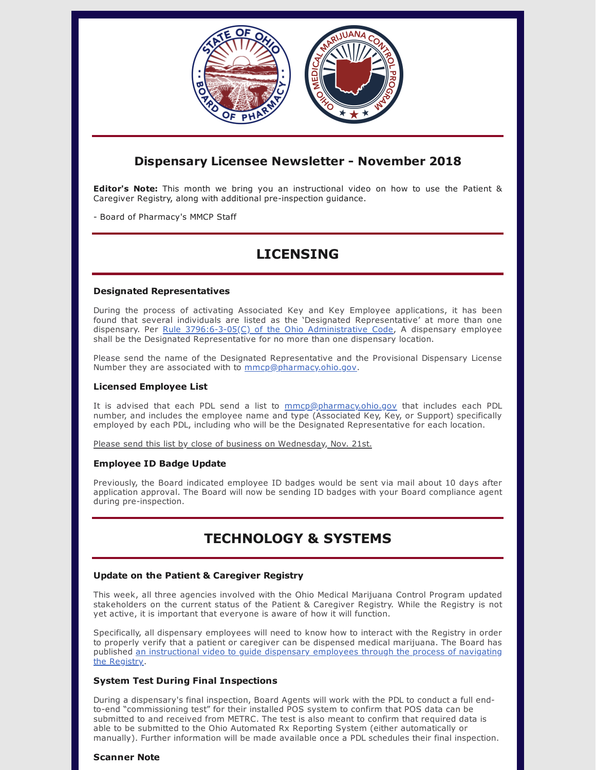

## **Dispensary Licensee Newsletter - November 2018**

**Editor's Note:** This month we bring you an instructional video on how to use the Patient & Caregiver Registry, along with additional pre-inspection guidance.

- Board of Pharmacy's MMCP Staff

# **LICENSING**

### **Designated Representatives**

During the process of activating Associated Key and Key Employee applications, it has been found that several individuals are listed as the 'Designated Representative' at more than one dispensary. Per Rule  $3796:6-3-05(C)$  of the Ohio Administrative Code, A dispensary employee shall be the Designated Representative for no more than one dispensary location.

Please send the name of the Designated Representative and the Provisional Dispensary License Number they are associated with to [mmcp@pharmacy.ohio.gov.](mailto:mmcp@pharmacy.ohio.gov)

### **Licensed Employee List**

It is advised that each PDL send a list to [mmcp@pharmacy.ohio.gov](mailto:mmcp@pharmacy.ohio.gov) that includes each PDL number, and includes the employee name and type (Associated Key, Key, or Support) specifically employed by each PDL, including who will be the Designated Representative for each location.

Please send this list by close of business on Wednesday, Nov. 21st.

## **Employee ID Badge Update**

Previously, the Board indicated employee ID badges would be sent via mail about 10 days after application approval. The Board will now be sending ID badges with your Board compliance agent during pre-inspection.

# **TECHNOLOGY & SYSTEMS**

## **Update on the Patient & Caregiver Registry**

This week, all three agencies involved with the Ohio Medical Marijuana Control Program updated stakeholders on the current status of the Patient & Caregiver Registry. While the Registry is not yet active, it is important that everyone is aware of how it will function.

Specifically, all dispensary employees will need to know how to interact with the Registry in order to properly verify that a patient or caregiver can be dispensed medical marijuana. The Board has published an [instructional](https://www.medicalmarijuana.ohio.gov/Documents/LicenseeResources/Dispensary%20Licensee%20Resources/DISPENSARY%20TECHNOLOGY%20&%20SYSTEMS/Ohio%20Medical%20Marijuana%20Patient%20&%20Caregiver%20Registry%20%E2%80%93%20Video%20Guide%20for%20Dispensary%20Employees.mp4) video to guide dispensary employees through the process of navigating the Registry.

## **System Test During Final Inspections**

During a dispensary's final inspection, Board Agents will work with the PDL to conduct a full endto-end "commissioning test" for their installed POS system to confirm that POS data can be submitted to and received from METRC. The test is also meant to confirm that required data is able to be submitted to the Ohio Automated Rx Reporting System (either automatically or manually). Further information will be made available once a PDL schedules their final inspection.

### **Scanner Note**